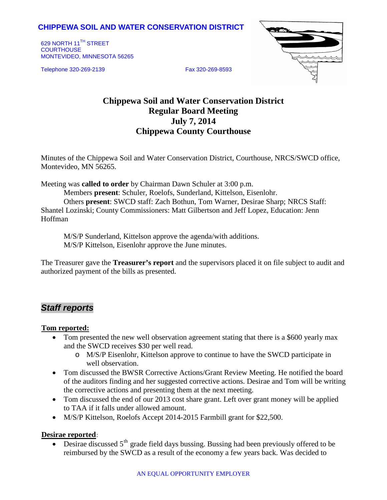## **CHIPPEWA SOIL AND WATER CONSERVATION DISTRICT**

629 NORTH 11<sup>TH</sup> STREET **COURTHOUSE** MONTEVIDEO, MINNESOTA 56265

Telephone 320-269-2139 Fax 320-269-8593



# **Chippewa Soil and Water Conservation District Regular Board Meeting July 7, 2014 Chippewa County Courthouse**

Minutes of the Chippewa Soil and Water Conservation District, Courthouse, NRCS/SWCD office, Montevideo, MN 56265.

Meeting was **called to order** by Chairman Dawn Schuler at 3:00 p.m.

Members **present**: Schuler, Roelofs, Sunderland, Kittelson, Eisenlohr. Others **present**: SWCD staff: Zach Bothun, Tom Warner, Desirae Sharp; NRCS Staff: Shantel Lozinski; County Commissioners: Matt Gilbertson and Jeff Lopez, Education: Jenn Hoffman

M/S/P Sunderland, Kittelson approve the agenda/with additions. M/S/P Kittelson, Eisenlohr approve the June minutes.

The Treasurer gave the **Treasurer's report** and the supervisors placed it on file subject to audit and authorized payment of the bills as presented.

## *Staff reports*

### <sup>U</sup>**Tom reported:**

- Tom presented the new well observation agreement stating that there is a \$600 yearly max and the SWCD receives \$30 per well read.
	- o M/S/P Eisenlohr, Kittelson approve to continue to have the SWCD participate in well observation.
- Tom discussed the BWSR Corrective Actions/Grant Review Meeting. He notified the board of the auditors finding and her suggested corrective actions. Desirae and Tom will be writing the corrective actions and presenting them at the next meeting.
- Tom discussed the end of our 2013 cost share grant. Left over grant money will be applied to TAA if it falls under allowed amount.
- M/S/P Kittelson, Roelofs Accept 2014-2015 Farmbill grant for \$22,500.

## **Desirae reported**:

• Desirae discussed  $5<sup>th</sup>$  grade field days bussing. Bussing had been previously offered to be reimbursed by the SWCD as a result of the economy a few years back. Was decided to